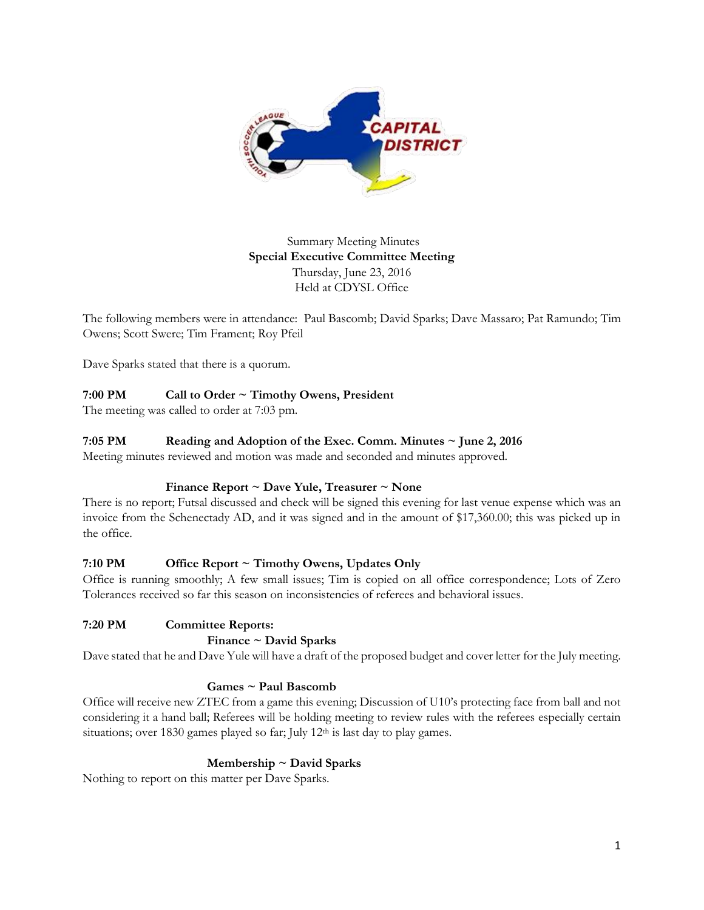

Summary Meeting Minutes **Special Executive Committee Meeting** Thursday, June 23, 2016 Held at CDYSL Office

The following members were in attendance: Paul Bascomb; David Sparks; Dave Massaro; Pat Ramundo; Tim Owens; Scott Swere; Tim Frament; Roy Pfeil

Dave Sparks stated that there is a quorum.

## **7:00 PM Call to Order ~ Timothy Owens, President**

The meeting was called to order at 7:03 pm.

### **7:05 PM Reading and Adoption of the Exec. Comm. Minutes ~ June 2, 2016**

Meeting minutes reviewed and motion was made and seconded and minutes approved.

### **Finance Report ~ Dave Yule, Treasurer ~ None**

There is no report; Futsal discussed and check will be signed this evening for last venue expense which was an invoice from the Schenectady AD, and it was signed and in the amount of \$17,360.00; this was picked up in the office.

### **7:10 PM Office Report ~ Timothy Owens, Updates Only**

Office is running smoothly; A few small issues; Tim is copied on all office correspondence; Lots of Zero Tolerances received so far this season on inconsistencies of referees and behavioral issues.

### **7:20 PM Committee Reports:**

#### **Finance ~ David Sparks**

Dave stated that he and Dave Yule will have a draft of the proposed budget and cover letter for the July meeting.

### **Games ~ Paul Bascomb**

Office will receive new ZTEC from a game this evening; Discussion of U10's protecting face from ball and not considering it a hand ball; Referees will be holding meeting to review rules with the referees especially certain situations; over 1830 games played so far; July 12<sup>th</sup> is last day to play games.

#### **Membership ~ David Sparks**

Nothing to report on this matter per Dave Sparks.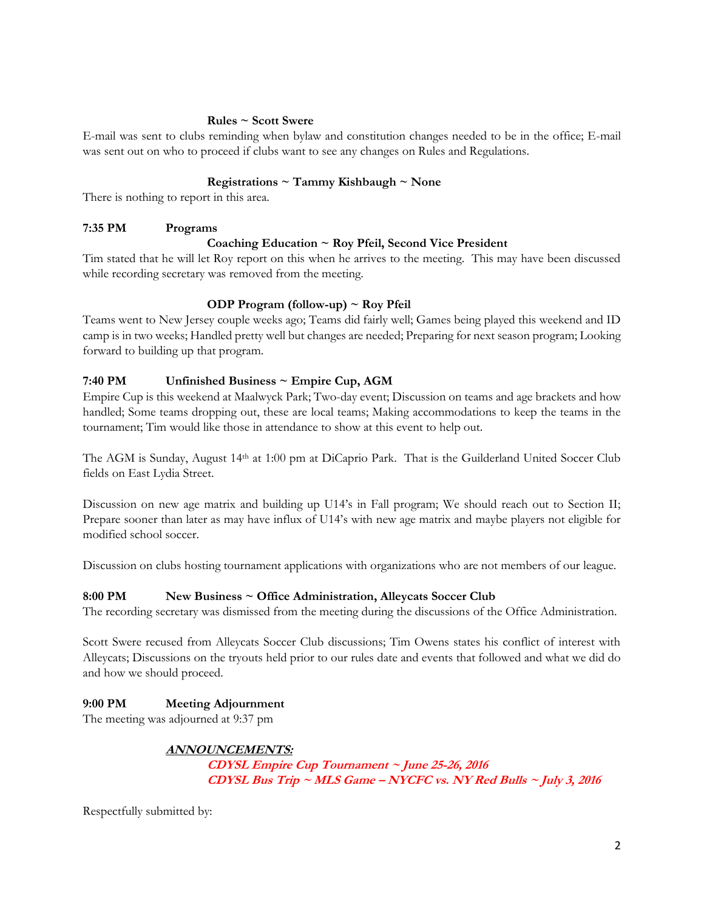#### **Rules ~ Scott Swere**

E-mail was sent to clubs reminding when bylaw and constitution changes needed to be in the office; E-mail was sent out on who to proceed if clubs want to see any changes on Rules and Regulations.

### **Registrations ~ Tammy Kishbaugh ~ None**

There is nothing to report in this area.

### **7:35 PM Programs**

## **Coaching Education ~ Roy Pfeil, Second Vice President**

Tim stated that he will let Roy report on this when he arrives to the meeting. This may have been discussed while recording secretary was removed from the meeting.

### **ODP Program (follow-up) ~ Roy Pfeil**

Teams went to New Jersey couple weeks ago; Teams did fairly well; Games being played this weekend and ID camp is in two weeks; Handled pretty well but changes are needed; Preparing for next season program; Looking forward to building up that program.

## **7:40 PM Unfinished Business ~ Empire Cup, AGM**

Empire Cup is this weekend at Maalwyck Park; Two-day event; Discussion on teams and age brackets and how handled; Some teams dropping out, these are local teams; Making accommodations to keep the teams in the tournament; Tim would like those in attendance to show at this event to help out.

The AGM is Sunday, August 14th at 1:00 pm at DiCaprio Park. That is the Guilderland United Soccer Club fields on East Lydia Street.

Discussion on new age matrix and building up U14's in Fall program; We should reach out to Section II; Prepare sooner than later as may have influx of U14's with new age matrix and maybe players not eligible for modified school soccer.

Discussion on clubs hosting tournament applications with organizations who are not members of our league.

### **8:00 PM New Business ~ Office Administration, Alleycats Soccer Club**

The recording secretary was dismissed from the meeting during the discussions of the Office Administration.

Scott Swere recused from Alleycats Soccer Club discussions; Tim Owens states his conflict of interest with Alleycats; Discussions on the tryouts held prior to our rules date and events that followed and what we did do and how we should proceed.

# **9:00 PM Meeting Adjournment**

The meeting was adjourned at 9:37 pm

# **ANNOUNCEMENTS:**

**CDYSL Empire Cup Tournament ~ June 25-26, 2016 CDYSL Bus Trip ~ MLS Game – NYCFC vs. NY Red Bulls ~ July 3, 2016**

Respectfully submitted by: